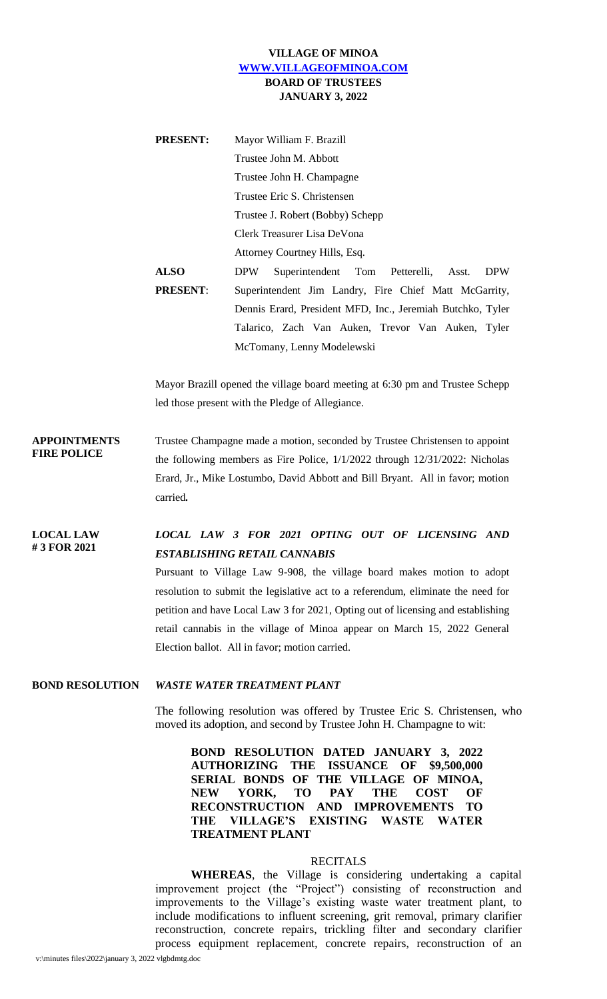## **VILLAGE OF MINOA [WWW.VILLAGEOFMINOA.COM](http://www.villageofminoa.com/) BOARD OF TRUSTEES JANUARY 3, 2022**

| <b>PRESENT:</b> | Mayor William F. Brazill                                         |
|-----------------|------------------------------------------------------------------|
|                 | Trustee John M. Abbott                                           |
|                 | Trustee John H. Champagne                                        |
|                 | Trustee Eric S. Christensen                                      |
|                 | Trustee J. Robert (Bobby) Schepp                                 |
|                 | Clerk Treasurer Lisa DeVona                                      |
|                 | Attorney Courtney Hills, Esq.                                    |
| <b>ALSO</b>     | <b>DPW</b><br>Superintendent Tom Petterelli, Asst.<br><b>DPW</b> |
| <b>PRESENT:</b> | Superintendent Jim Landry, Fire Chief Matt McGarrity,            |
|                 | Dennis Erard, President MFD, Inc., Jeremiah Butchko, Tyler       |
|                 | Talarico, Zach Van Auken, Trevor Van Auken, Tyler                |
|                 | McTomany, Lenny Modelewski                                       |

Mayor Brazill opened the village board meeting at 6:30 pm and Trustee Schepp led those present with the Pledge of Allegiance.

**APPOINTMENTS FIRE POLICE** Trustee Champagne made a motion, seconded by Trustee Christensen to appoint the following members as Fire Police, 1/1/2022 through 12/31/2022: Nicholas Erard, Jr., Mike Lostumbo, David Abbott and Bill Bryant. All in favor; motion carried*.*

**LOCAL LAW # 3 FOR 2021**

## *LOCAL LAW 3 FOR 2021 OPTING OUT OF LICENSING AND ESTABLISHING RETAIL CANNABIS*

Pursuant to Village Law 9-908, the village board makes motion to adopt resolution to submit the legislative act to a referendum, eliminate the need for petition and have Local Law 3 for 2021, Opting out of licensing and establishing retail cannabis in the village of Minoa appear on March 15, 2022 General Election ballot. All in favor; motion carried.

## **BOND RESOLUTION** *WASTE WATER TREATMENT PLANT*

The following resolution was offered by Trustee Eric S. Christensen, who moved its adoption, and second by Trustee John H. Champagne to wit:

**BOND RESOLUTION DATED JANUARY 3, 2022 AUTHORIZING THE ISSUANCE OF \$9,500,000 SERIAL BONDS OF THE VILLAGE OF MINOA, NEW YORK, TO PAY THE COST OF RECONSTRUCTION AND IMPROVEMENTS TO THE VILLAGE'S EXISTING WASTE WATER TREATMENT PLANT**

## **RECITALS**

**WHEREAS**, the Village is considering undertaking a capital improvement project (the "Project") consisting of reconstruction and improvements to the Village's existing waste water treatment plant, to include modifications to influent screening, grit removal, primary clarifier reconstruction, concrete repairs, trickling filter and secondary clarifier process equipment replacement, concrete repairs, reconstruction of an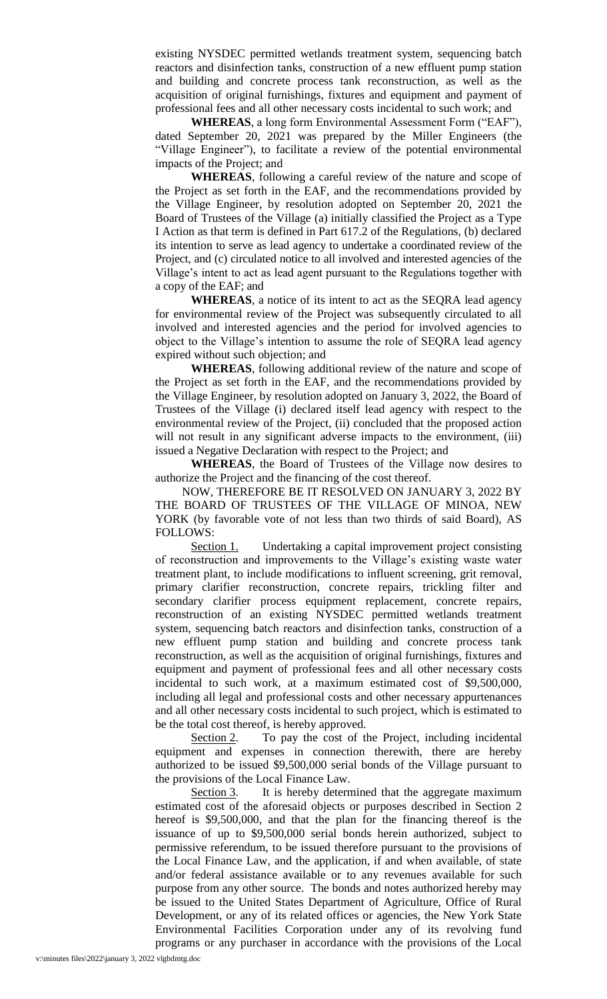existing NYSDEC permitted wetlands treatment system, sequencing batch reactors and disinfection tanks, construction of a new effluent pump station and building and concrete process tank reconstruction, as well as the acquisition of original furnishings, fixtures and equipment and payment of professional fees and all other necessary costs incidental to such work; and

**WHEREAS**, a long form Environmental Assessment Form ("EAF"), dated September 20, 2021 was prepared by the Miller Engineers (the "Village Engineer"), to facilitate a review of the potential environmental impacts of the Project; and

**WHEREAS**, following a careful review of the nature and scope of the Project as set forth in the EAF, and the recommendations provided by the Village Engineer, by resolution adopted on September 20, 2021 the Board of Trustees of the Village (a) initially classified the Project as a Type I Action as that term is defined in Part 617.2 of the Regulations, (b) declared its intention to serve as lead agency to undertake a coordinated review of the Project, and (c) circulated notice to all involved and interested agencies of the Village's intent to act as lead agent pursuant to the Regulations together with a copy of the EAF; and

**WHEREAS**, a notice of its intent to act as the SEQRA lead agency for environmental review of the Project was subsequently circulated to all involved and interested agencies and the period for involved agencies to object to the Village's intention to assume the role of SEQRA lead agency expired without such objection; and

**WHEREAS**, following additional review of the nature and scope of the Project as set forth in the EAF, and the recommendations provided by the Village Engineer, by resolution adopted on January 3, 2022, the Board of Trustees of the Village (i) declared itself lead agency with respect to the environmental review of the Project, (ii) concluded that the proposed action will not result in any significant adverse impacts to the environment, (iii) issued a Negative Declaration with respect to the Project; and

**WHEREAS**, the Board of Trustees of the Village now desires to authorize the Project and the financing of the cost thereof.

NOW, THEREFORE BE IT RESOLVED ON JANUARY 3, 2022 BY THE BOARD OF TRUSTEES OF THE VILLAGE OF MINOA, NEW YORK (by favorable vote of not less than two thirds of said Board), AS FOLLOWS:

Section 1. Undertaking a capital improvement project consisting of reconstruction and improvements to the Village's existing waste water treatment plant, to include modifications to influent screening, grit removal, primary clarifier reconstruction, concrete repairs, trickling filter and secondary clarifier process equipment replacement, concrete repairs, reconstruction of an existing NYSDEC permitted wetlands treatment system, sequencing batch reactors and disinfection tanks, construction of a new effluent pump station and building and concrete process tank reconstruction, as well as the acquisition of original furnishings, fixtures and equipment and payment of professional fees and all other necessary costs incidental to such work, at a maximum estimated cost of \$9,500,000, including all legal and professional costs and other necessary appurtenances and all other necessary costs incidental to such project, which is estimated to be the total cost thereof, is hereby approved.

Section 2. To pay the cost of the Project, including incidental equipment and expenses in connection therewith, there are hereby authorized to be issued \$9,500,000 serial bonds of the Village pursuant to the provisions of the Local Finance Law.

Section 3. It is hereby determined that the aggregate maximum estimated cost of the aforesaid objects or purposes described in Section 2 hereof is \$9,500,000, and that the plan for the financing thereof is the issuance of up to \$9,500,000 serial bonds herein authorized, subject to permissive referendum, to be issued therefore pursuant to the provisions of the Local Finance Law, and the application, if and when available, of state and/or federal assistance available or to any revenues available for such purpose from any other source. The bonds and notes authorized hereby may be issued to the United States Department of Agriculture, Office of Rural Development, or any of its related offices or agencies, the New York State Environmental Facilities Corporation under any of its revolving fund programs or any purchaser in accordance with the provisions of the Local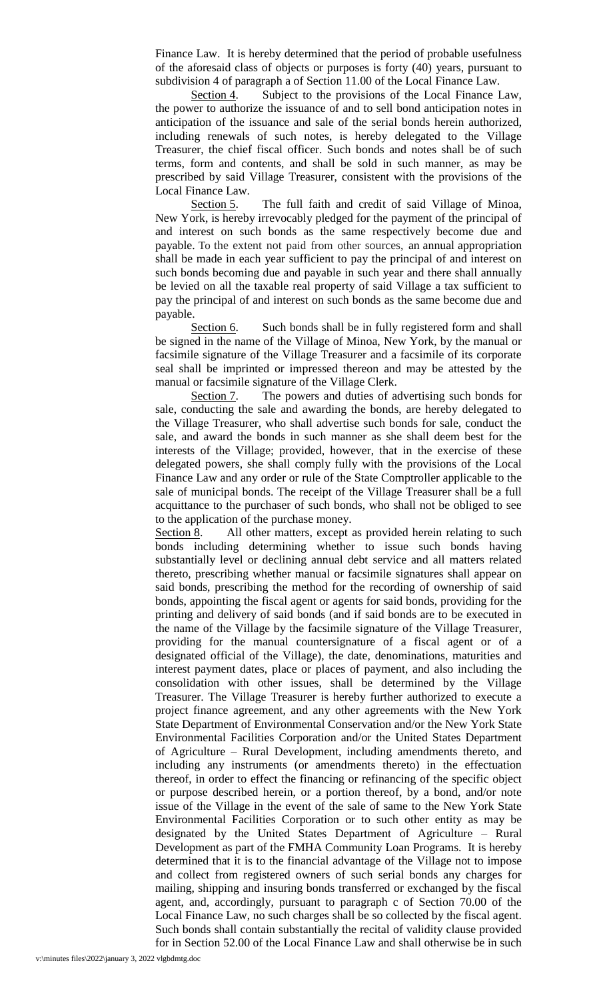Finance Law. It is hereby determined that the period of probable usefulness of the aforesaid class of objects or purposes is forty (40) years, pursuant to subdivision 4 of paragraph a of Section 11.00 of the Local Finance Law.

Section 4. Subject to the provisions of the Local Finance Law, the power to authorize the issuance of and to sell bond anticipation notes in anticipation of the issuance and sale of the serial bonds herein authorized, including renewals of such notes, is hereby delegated to the Village Treasurer, the chief fiscal officer. Such bonds and notes shall be of such terms, form and contents, and shall be sold in such manner, as may be prescribed by said Village Treasurer, consistent with the provisions of the Local Finance Law.

Section 5. The full faith and credit of said Village of Minoa, New York, is hereby irrevocably pledged for the payment of the principal of and interest on such bonds as the same respectively become due and payable. To the extent not paid from other sources, an annual appropriation shall be made in each year sufficient to pay the principal of and interest on such bonds becoming due and payable in such year and there shall annually be levied on all the taxable real property of said Village a tax sufficient to pay the principal of and interest on such bonds as the same become due and payable.

Section 6. Such bonds shall be in fully registered form and shall be signed in the name of the Village of Minoa, New York, by the manual or facsimile signature of the Village Treasurer and a facsimile of its corporate seal shall be imprinted or impressed thereon and may be attested by the manual or facsimile signature of the Village Clerk.

Section 7. The powers and duties of advertising such bonds for sale, conducting the sale and awarding the bonds, are hereby delegated to the Village Treasurer, who shall advertise such bonds for sale, conduct the sale, and award the bonds in such manner as she shall deem best for the interests of the Village; provided, however, that in the exercise of these delegated powers, she shall comply fully with the provisions of the Local Finance Law and any order or rule of the State Comptroller applicable to the sale of municipal bonds. The receipt of the Village Treasurer shall be a full acquittance to the purchaser of such bonds, who shall not be obliged to see to the application of the purchase money.

Section 8. All other matters, except as provided herein relating to such bonds including determining whether to issue such bonds having substantially level or declining annual debt service and all matters related thereto, prescribing whether manual or facsimile signatures shall appear on said bonds, prescribing the method for the recording of ownership of said bonds, appointing the fiscal agent or agents for said bonds, providing for the printing and delivery of said bonds (and if said bonds are to be executed in the name of the Village by the facsimile signature of the Village Treasurer, providing for the manual countersignature of a fiscal agent or of a designated official of the Village), the date, denominations, maturities and interest payment dates, place or places of payment, and also including the consolidation with other issues, shall be determined by the Village Treasurer. The Village Treasurer is hereby further authorized to execute a project finance agreement, and any other agreements with the New York State Department of Environmental Conservation and/or the New York State Environmental Facilities Corporation and/or the United States Department of Agriculture – Rural Development, including amendments thereto, and including any instruments (or amendments thereto) in the effectuation thereof, in order to effect the financing or refinancing of the specific object or purpose described herein, or a portion thereof, by a bond, and/or note issue of the Village in the event of the sale of same to the New York State Environmental Facilities Corporation or to such other entity as may be designated by the United States Department of Agriculture – Rural Development as part of the FMHA Community Loan Programs. It is hereby determined that it is to the financial advantage of the Village not to impose and collect from registered owners of such serial bonds any charges for mailing, shipping and insuring bonds transferred or exchanged by the fiscal agent, and, accordingly, pursuant to paragraph c of Section 70.00 of the Local Finance Law, no such charges shall be so collected by the fiscal agent. Such bonds shall contain substantially the recital of validity clause provided for in Section 52.00 of the Local Finance Law and shall otherwise be in such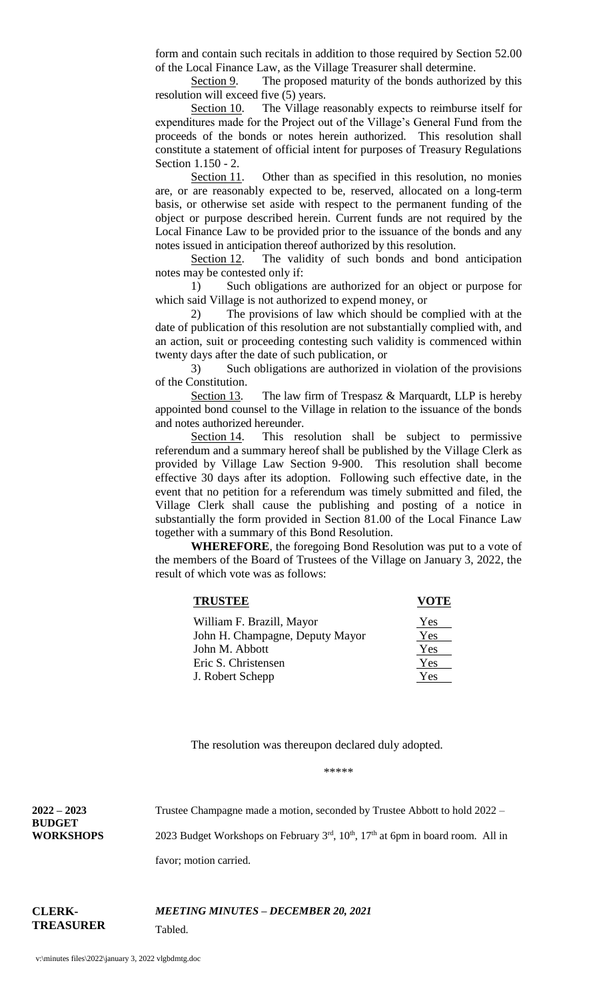form and contain such recitals in addition to those required by Section 52.00 of the Local Finance Law, as the Village Treasurer shall determine.

Section 9. The proposed maturity of the bonds authorized by this resolution will exceed five (5) years.

Section 10. The Village reasonably expects to reimburse itself for expenditures made for the Project out of the Village's General Fund from the proceeds of the bonds or notes herein authorized. This resolution shall constitute a statement of official intent for purposes of Treasury Regulations Section 1.150 - 2.

Section 11. Other than as specified in this resolution, no monies are, or are reasonably expected to be, reserved, allocated on a long-term basis, or otherwise set aside with respect to the permanent funding of the object or purpose described herein. Current funds are not required by the Local Finance Law to be provided prior to the issuance of the bonds and any notes issued in anticipation thereof authorized by this resolution.

Section 12. The validity of such bonds and bond anticipation notes may be contested only if:

1) Such obligations are authorized for an object or purpose for which said Village is not authorized to expend money, or

2) The provisions of law which should be complied with at the date of publication of this resolution are not substantially complied with, and an action, suit or proceeding contesting such validity is commenced within twenty days after the date of such publication, or

3) Such obligations are authorized in violation of the provisions of the Constitution.

Section 13. The law firm of Trespasz  $&$  Marquardt, LLP is hereby appointed bond counsel to the Village in relation to the issuance of the bonds and notes authorized hereunder.

Section 14. This resolution shall be subject to permissive referendum and a summary hereof shall be published by the Village Clerk as provided by Village Law Section 9-900. This resolution shall become effective 30 days after its adoption. Following such effective date, in the event that no petition for a referendum was timely submitted and filed, the Village Clerk shall cause the publishing and posting of a notice in substantially the form provided in Section 81.00 of the Local Finance Law together with a summary of this Bond Resolution.

**WHEREFORE**, the foregoing Bond Resolution was put to a vote of the members of the Board of Trustees of the Village on January 3, 2022, the result of which vote was as follows:

| <b>TRUSTEE</b>                  | OTE |
|---------------------------------|-----|
| William F. Brazill, Mayor       | Yes |
| John H. Champagne, Deputy Mayor | Yes |
| John M. Abbott                  | Yes |
| Eric S. Christensen             | Yes |
| J. Robert Schepp                | Yes |

The resolution was thereupon declared duly adopted.

\*\*\*\*\*

**2022 – 2023 BUDGET WORKSHOPS** Trustee Champagne made a motion, seconded by Trustee Abbott to hold 2022 – 2023 Budget Workshops on February  $3<sup>rd</sup>$ ,  $10<sup>th</sup>$ ,  $17<sup>th</sup>$  at 6pm in board room. All in

favor; motion carried.

**CLERK-TREASURER** *MEETING MINUTES – DECEMBER 20, 2021* Tabled.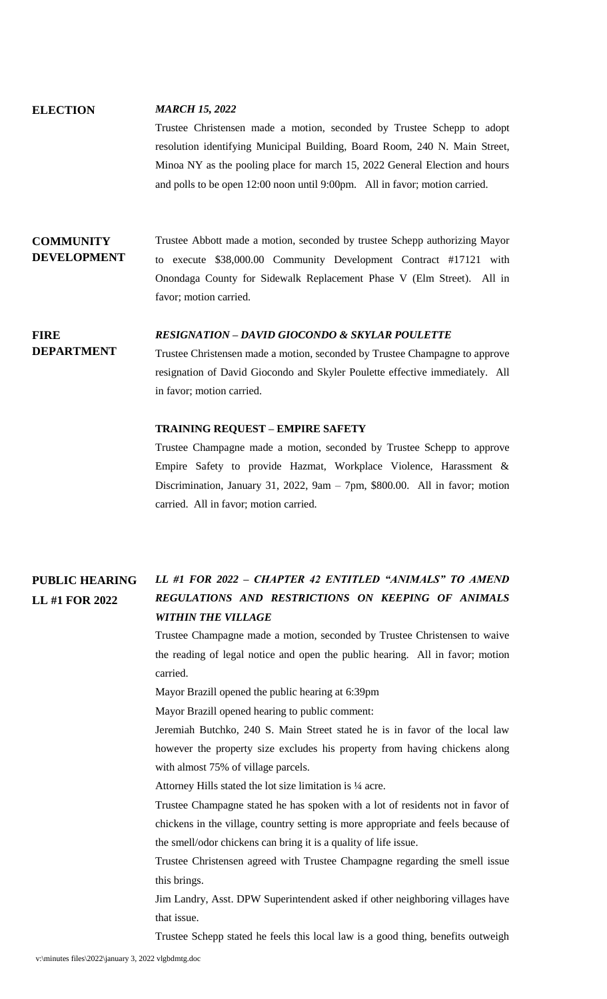# **ELECTION** *MARCH 15, 2022* Trustee Christensen made a motion, seconded by Trustee Schepp to adopt

resolution identifying Municipal Building, Board Room, 240 N. Main Street, Minoa NY as the pooling place for march 15, 2022 General Election and hours and polls to be open 12:00 noon until 9:00pm. All in favor; motion carried.

## **COMMUNITY DEVELOPMENT**

Trustee Abbott made a motion, seconded by trustee Schepp authorizing Mayor to execute \$38,000.00 Community Development Contract #17121 with Onondaga County for Sidewalk Replacement Phase V (Elm Street). All in favor; motion carried.

#### **FIRE**  *RESIGNATION – DAVID GIOCONDO & SKYLAR POULETTE*

**DEPARTMENT**

Trustee Christensen made a motion, seconded by Trustee Champagne to approve resignation of David Giocondo and Skyler Poulette effective immediately. All in favor; motion carried.

## **TRAINING REQUEST – EMPIRE SAFETY**

Trustee Champagne made a motion, seconded by Trustee Schepp to approve Empire Safety to provide Hazmat, Workplace Violence, Harassment & Discrimination, January 31, 2022, 9am – 7pm, \$800.00. All in favor; motion carried. All in favor; motion carried.

### **PUBLIC HEARING LL #1 FOR 2022** *LL #1 FOR 2022 – CHAPTER 42 ENTITLED "ANIMALS" TO AMEND REGULATIONS AND RESTRICTIONS ON KEEPING OF ANIMALS WITHIN THE VILLAGE*

Trustee Champagne made a motion, seconded by Trustee Christensen to waive the reading of legal notice and open the public hearing. All in favor; motion carried.

Mayor Brazill opened the public hearing at 6:39pm

Mayor Brazill opened hearing to public comment:

Jeremiah Butchko, 240 S. Main Street stated he is in favor of the local law however the property size excludes his property from having chickens along with almost 75% of village parcels.

Attorney Hills stated the lot size limitation is ¼ acre.

Trustee Champagne stated he has spoken with a lot of residents not in favor of chickens in the village, country setting is more appropriate and feels because of the smell/odor chickens can bring it is a quality of life issue.

Trustee Christensen agreed with Trustee Champagne regarding the smell issue this brings.

Jim Landry, Asst. DPW Superintendent asked if other neighboring villages have that issue.

Trustee Schepp stated he feels this local law is a good thing, benefits outweigh